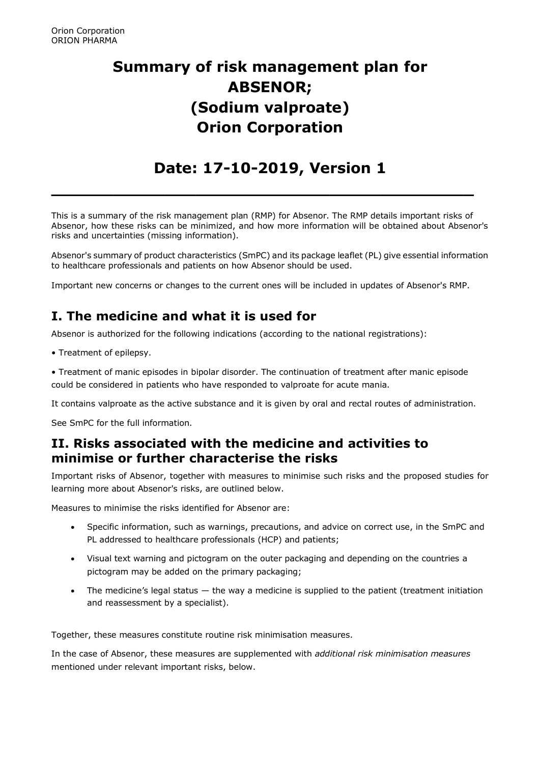# **Summary of risk management plan for ABSENOR; (Sodium valproate) Orion Corporation**

## **Date: 17-10-2019, Version 1**

**\_\_\_\_\_\_\_\_\_\_\_\_\_\_\_\_\_\_\_\_\_\_\_\_\_\_\_\_\_\_\_\_\_\_\_\_\_\_\_\_\_**

This is a summary of the risk management plan (RMP) for Absenor. The RMP details important risks of Absenor, how these risks can be minimized, and how more information will be obtained about Absenor's risks and uncertainties (missing information).

Absenor's summary of product characteristics (SmPC) and its package leaflet (PL) give essential information to healthcare professionals and patients on how Absenor should be used.

Important new concerns or changes to the current ones will be included in updates of Absenor's RMP.

## **I. The medicine and what it is used for**

Absenor is authorized for the following indications (according to the national registrations):

• Treatment of epilepsy.

• Treatment of manic episodes in bipolar disorder. The continuation of treatment after manic episode could be considered in patients who have responded to valproate for acute mania.

It contains valproate as the active substance and it is given by oral and rectal routes of administration.

See SmPC for the full information.

### **II. Risks associated with the medicine and activities to minimise or further characterise the risks**

Important risks of Absenor, together with measures to minimise such risks and the proposed studies for learning more about Absenor's risks, are outlined below.

Measures to minimise the risks identified for Absenor are:

- Specific information, such as warnings, precautions, and advice on correct use, in the SmPC and PL addressed to healthcare professionals (HCP) and patients;
- Visual text warning and pictogram on the outer packaging and depending on the countries a pictogram may be added on the primary packaging;
- The medicine's legal status the way a medicine is supplied to the patient (treatment initiation and reassessment by a specialist).

Together, these measures constitute routine risk minimisation measures.

In the case of Absenor, these measures are supplemented with *additional risk minimisation measures* mentioned under relevant important risks, below.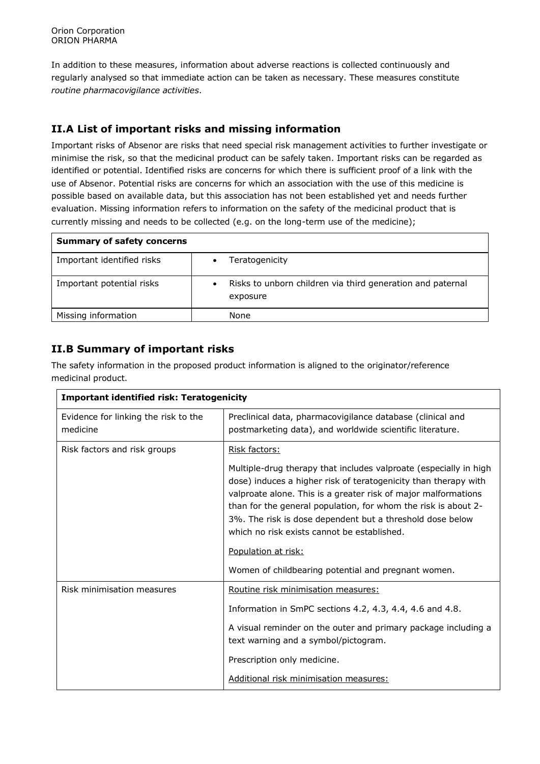In addition to these measures, information about adverse reactions is collected continuously and regularly analysed so that immediate action can be taken as necessary. These measures constitute *routine pharmacovigilance activities*.

### **II.A List of important risks and missing information**

Important risks of Absenor are risks that need special risk management activities to further investigate or minimise the risk, so that the medicinal product can be safely taken. Important risks can be regarded as identified or potential. Identified risks are concerns for which there is sufficient proof of a link with the use of Absenor. Potential risks are concerns for which an association with the use of this medicine is possible based on available data, but this association has not been established yet and needs further evaluation. Missing information refers to information on the safety of the medicinal product that is currently missing and needs to be collected (e.g. on the long-term use of the medicine);

| <b>Summary of safety concerns</b> |                                                                                     |  |
|-----------------------------------|-------------------------------------------------------------------------------------|--|
| Important identified risks        | Teratogenicity<br>$\bullet$                                                         |  |
| Important potential risks         | Risks to unborn children via third generation and paternal<br>$\bullet$<br>exposure |  |
| Missing information               | None                                                                                |  |

#### **II.B Summary of important risks**

The safety information in the proposed product information is aligned to the originator/reference medicinal product.

| <b>Important identified risk: Teratogenicity</b> |                                                                                                                                                                                                                                                                                                                                                                                                                                                                    |  |
|--------------------------------------------------|--------------------------------------------------------------------------------------------------------------------------------------------------------------------------------------------------------------------------------------------------------------------------------------------------------------------------------------------------------------------------------------------------------------------------------------------------------------------|--|
| Evidence for linking the risk to the<br>medicine | Preclinical data, pharmacovigilance database (clinical and<br>postmarketing data), and worldwide scientific literature.                                                                                                                                                                                                                                                                                                                                            |  |
| Risk factors and risk groups                     | Risk factors:                                                                                                                                                                                                                                                                                                                                                                                                                                                      |  |
|                                                  | Multiple-drug therapy that includes valproate (especially in high<br>dose) induces a higher risk of teratogenicity than therapy with<br>valproate alone. This is a greater risk of major malformations<br>than for the general population, for whom the risk is about 2-<br>3%. The risk is dose dependent but a threshold dose below<br>which no risk exists cannot be established.<br>Population at risk:<br>Women of childbearing potential and pregnant women. |  |
| Risk minimisation measures                       | Routine risk minimisation measures:                                                                                                                                                                                                                                                                                                                                                                                                                                |  |
|                                                  | Information in SmPC sections 4.2, 4.3, 4.4, 4.6 and 4.8.                                                                                                                                                                                                                                                                                                                                                                                                           |  |
|                                                  | A visual reminder on the outer and primary package including a<br>text warning and a symbol/pictogram.                                                                                                                                                                                                                                                                                                                                                             |  |
|                                                  | Prescription only medicine.                                                                                                                                                                                                                                                                                                                                                                                                                                        |  |
|                                                  | Additional risk minimisation measures:                                                                                                                                                                                                                                                                                                                                                                                                                             |  |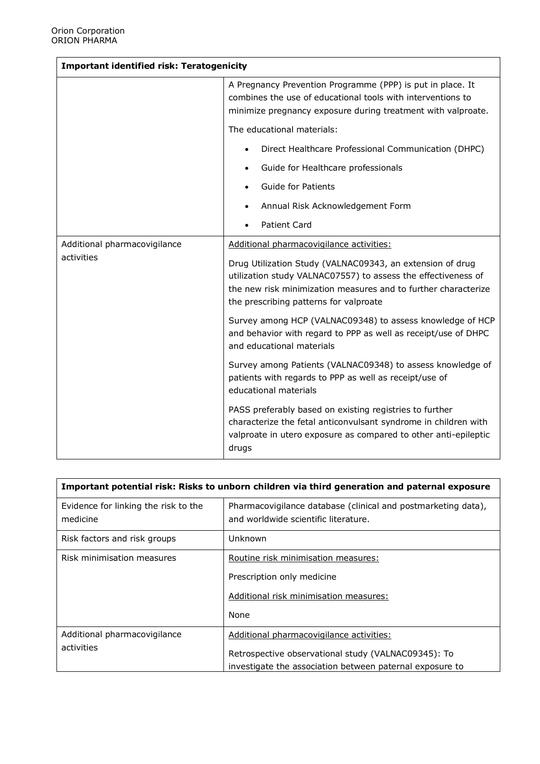| <b>Important identified risk: Teratogenicity</b> |                                                                                                                                                                                                                                        |  |
|--------------------------------------------------|----------------------------------------------------------------------------------------------------------------------------------------------------------------------------------------------------------------------------------------|--|
|                                                  | A Pregnancy Prevention Programme (PPP) is put in place. It<br>combines the use of educational tools with interventions to<br>minimize pregnancy exposure during treatment with valproate.                                              |  |
|                                                  | The educational materials:                                                                                                                                                                                                             |  |
|                                                  | Direct Healthcare Professional Communication (DHPC)<br>$\bullet$                                                                                                                                                                       |  |
|                                                  | Guide for Healthcare professionals<br>$\bullet$                                                                                                                                                                                        |  |
|                                                  | Guide for Patients                                                                                                                                                                                                                     |  |
|                                                  | Annual Risk Acknowledgement Form<br>$\bullet$                                                                                                                                                                                          |  |
|                                                  | <b>Patient Card</b>                                                                                                                                                                                                                    |  |
| Additional pharmacovigilance<br>activities       | Additional pharmacovigilance activities:                                                                                                                                                                                               |  |
|                                                  | Drug Utilization Study (VALNAC09343, an extension of drug<br>utilization study VALNAC07557) to assess the effectiveness of<br>the new risk minimization measures and to further characterize<br>the prescribing patterns for valproate |  |
|                                                  | Survey among HCP (VALNAC09348) to assess knowledge of HCP<br>and behavior with regard to PPP as well as receipt/use of DHPC<br>and educational materials                                                                               |  |
|                                                  | Survey among Patients (VALNAC09348) to assess knowledge of<br>patients with regards to PPP as well as receipt/use of<br>educational materials                                                                                          |  |
|                                                  | PASS preferably based on existing registries to further<br>characterize the fetal anticonvulsant syndrome in children with<br>valproate in utero exposure as compared to other anti-epileptic<br>drugs                                 |  |

| Important potential risk: Risks to unborn children via third generation and paternal exposure |                                                                                                                                                             |  |
|-----------------------------------------------------------------------------------------------|-------------------------------------------------------------------------------------------------------------------------------------------------------------|--|
| Evidence for linking the risk to the<br>medicine                                              | Pharmacovigilance database (clinical and postmarketing data),<br>and worldwide scientific literature.                                                       |  |
| Risk factors and risk groups                                                                  | Unknown                                                                                                                                                     |  |
| Risk minimisation measures                                                                    | Routine risk minimisation measures:<br>Prescription only medicine<br>Additional risk minimisation measures:<br>None                                         |  |
| Additional pharmacovigilance<br>activities                                                    | Additional pharmacovigilance activities:<br>Retrospective observational study (VALNAC09345): To<br>investigate the association between paternal exposure to |  |